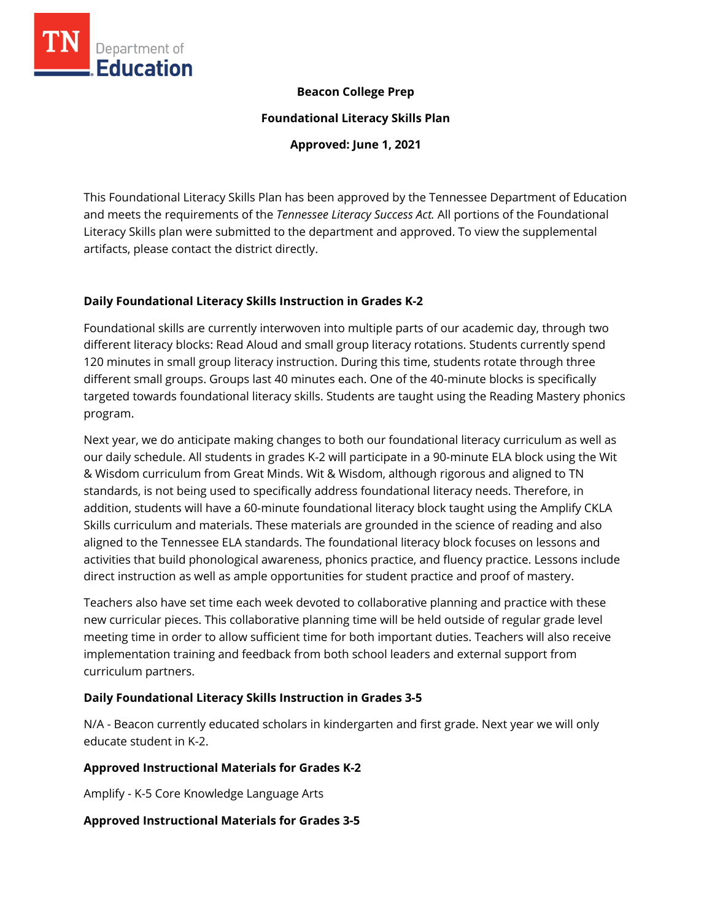

# **Beacon College Prep**

**Foundational Literacy Skills Plan**

**Approved: June 1, 2021**

This Foundational Literacy Skills Plan has been approved by the Tennessee Department of Education and meets the requirements of the *Tennessee Literacy Success Act.* All portions of the Foundational Literacy Skills plan were submitted to the department and approved. To view the supplemental artifacts, please contact the district directly.

# **Daily Foundational Literacy Skills Instruction in Grades K-2**

Foundational skills are currently interwoven into multiple parts of our academic day, through two different literacy blocks: Read Aloud and small group literacy rotations. Students currently spend 120 minutes in small group literacy instruction. During this time, students rotate through three different small groups. Groups last 40 minutes each. One of the 40-minute blocks is specifically targeted towards foundational literacy skills. Students are taught using the Reading Mastery phonics program.

Next year, we do anticipate making changes to both our foundational literacy curriculum as well as our daily schedule. All students in grades K-2 will participate in a 90-minute ELA block using the Wit & Wisdom curriculum from Great Minds. Wit & Wisdom, although rigorous and aligned to TN standards, is not being used to specifically address foundational literacy needs. Therefore, in addition, students will have a 60-minute foundational literacy block taught using the Amplify CKLA Skills curriculum and materials. These materials are grounded in the science of reading and also aligned to the Tennessee ELA standards. The foundational literacy block focuses on lessons and activities that build phonological awareness, phonics practice, and fluency practice. Lessons include direct instruction as well as ample opportunities for student practice and proof of mastery.

Teachers also have set time each week devoted to collaborative planning and practice with these new curricular pieces. This collaborative planning time will be held outside of regular grade level meeting time in order to allow sufficient time for both important duties. Teachers will also receive implementation training and feedback from both school leaders and external support from curriculum partners.

# **Daily Foundational Literacy Skills Instruction in Grades 3-5**

N/A - Beacon currently educated scholars in kindergarten and first grade. Next year we will only educate student in K-2.

# **Approved Instructional Materials for Grades K-2**

Amplify - K-5 Core Knowledge Language Arts

# **Approved Instructional Materials for Grades 3-5**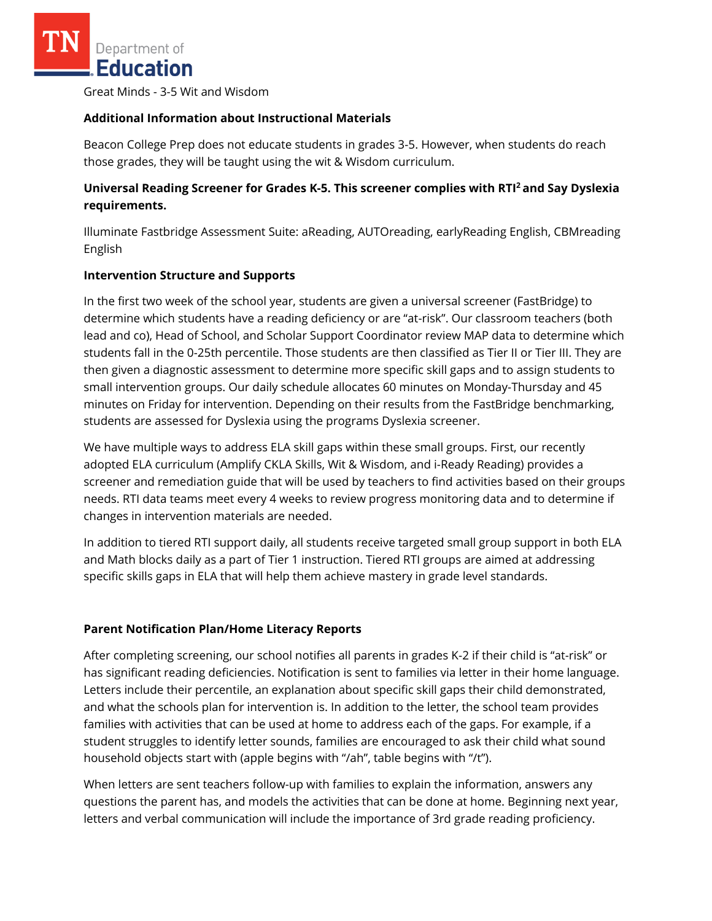Great Minds - 3-5 Wit and Wisdom

#### **Additional Information about Instructional Materials**

Beacon College Prep does not educate students in grades 3-5. However, when students do reach those grades, they will be taught using the wit & Wisdom curriculum.

# **Universal Reading Screener for Grades K-5. This screener complies with RTI<sup>2</sup>and Say Dyslexia requirements.**

Illuminate Fastbridge Assessment Suite: aReading, AUTOreading, earlyReading English, CBMreading English

#### **Intervention Structure and Supports**

In the first two week of the school year, students are given a universal screener (FastBridge) to determine which students have a reading deficiency or are "at-risk". Our classroom teachers (both lead and co), Head of School, and Scholar Support Coordinator review MAP data to determine which students fall in the 0-25th percentile. Those students are then classified as Tier II or Tier III. They are then given a diagnostic assessment to determine more specific skill gaps and to assign students to small intervention groups. Our daily schedule allocates 60 minutes on Monday-Thursday and 45 minutes on Friday for intervention. Depending on their results from the FastBridge benchmarking, students are assessed for Dyslexia using the programs Dyslexia screener.

We have multiple ways to address ELA skill gaps within these small groups. First, our recently adopted ELA curriculum (Amplify CKLA Skills, Wit & Wisdom, and i-Ready Reading) provides a screener and remediation guide that will be used by teachers to find activities based on their groups needs. RTI data teams meet every 4 weeks to review progress monitoring data and to determine if changes in intervention materials are needed.

In addition to tiered RTI support daily, all students receive targeted small group support in both ELA and Math blocks daily as a part of Tier 1 instruction. Tiered RTI groups are aimed at addressing specific skills gaps in ELA that will help them achieve mastery in grade level standards.

# **Parent Notification Plan/Home Literacy Reports**

After completing screening, our school notifies all parents in grades K-2 if their child is "at-risk" or has significant reading deficiencies. Notification is sent to families via letter in their home language. Letters include their percentile, an explanation about specific skill gaps their child demonstrated, and what the schools plan for intervention is. In addition to the letter, the school team provides families with activities that can be used at home to address each of the gaps. For example, if a student struggles to identify letter sounds, families are encouraged to ask their child what sound household objects start with (apple begins with "/ah", table begins with "/t").

When letters are sent teachers follow-up with families to explain the information, answers any questions the parent has, and models the activities that can be done at home. Beginning next year, letters and verbal communication will include the importance of 3rd grade reading proficiency.